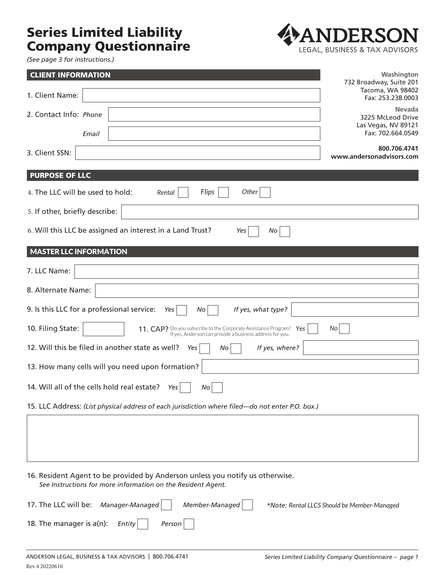## Series Limited Liability Company Questionnaire



*(See page 3 for instructions.)*

| <b>CLIENT INFORMATION</b>                                                                                                                           | Washington<br>732 Broadway, Suite 201                   |
|-----------------------------------------------------------------------------------------------------------------------------------------------------|---------------------------------------------------------|
| 1. Client Name:                                                                                                                                     | Tacoma, WA 98402<br>Fax: 253.238.0003                   |
| 2. Contact Info: Phone                                                                                                                              | <b>Nevada</b><br>3225 McLeod Drive                      |
| Email                                                                                                                                               | Las Vegas, NV 89121<br>Fax: 702.664.0549                |
| 3. Client SSN:                                                                                                                                      | 800.706.4741<br>www.andersonadvisors.com                |
| <b>PURPOSE OF LLC</b>                                                                                                                               |                                                         |
| Other<br>4. The LLC will be used to hold:<br>Flips<br>Rental                                                                                        |                                                         |
| 5. If other, briefly describe:                                                                                                                      |                                                         |
| 6. Will this LLC be assigned an interest in a Land Trust?<br>Yes<br>No                                                                              |                                                         |
| <b>MASTER LLC INFORMATION</b>                                                                                                                       |                                                         |
| 7. LLC Name:                                                                                                                                        |                                                         |
| 8. Alternate Name:                                                                                                                                  |                                                         |
| 9. Is this LLC for a professional service:<br>If yes, what type?<br>Yes<br>No                                                                       |                                                         |
| 10. Filing State:<br>11. CAP? Do you subscribe to the Corporate Assistance Program? Yes<br>If yes, Anderson can provide a business address for you. | No                                                      |
| 12. Will this be filed in another state as well?<br>If yes, where?<br>Yes<br>No                                                                     |                                                         |
| 13. How many cells will you need upon formation?                                                                                                    |                                                         |
| 14. Will all of the cells hold real estate?<br>Yes<br>No                                                                                            |                                                         |
| 15. LLC Address: (List physical address of each jurisdiction where filed-do not enter P.O. box.)                                                    |                                                         |
|                                                                                                                                                     |                                                         |
|                                                                                                                                                     |                                                         |
| 16. Resident Agent to be provided by Anderson unless you notify us otherwise.<br>See Instructions for more information on the Resident Agent.       |                                                         |
| 17. The LLC will be:<br>Manager-Managed<br>Member-Managed                                                                                           | *Note: Rental LLCS Should be Member-Managed             |
| 18. The manager is a(n):<br>Entity<br>Person                                                                                                        |                                                         |
| ANDERSON LEGAL, BUSINESS & TAX ADVISORS   800.706.4741                                                                                              | Series Limited Liability Company Questionnaire - page 1 |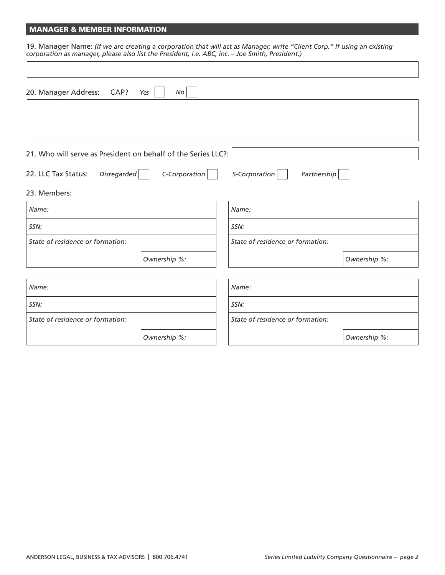## MANAGER & MEMBER INFORMATION

19. Manager Name: *(If we are creating a corporation that will act as Manager, write "Client Corp." If using an existing corporation as manager, please also list the President, i.e. ABC, inc. – Joe Smith, President.)*

| 20. Manager Address:<br>CAP?                                  | No<br>Yes     |                                  |              |
|---------------------------------------------------------------|---------------|----------------------------------|--------------|
|                                                               |               |                                  |              |
|                                                               |               |                                  |              |
| 21. Who will serve as President on behalf of the Series LLC?: |               |                                  |              |
| 22. LLC Tax Status:<br>Disregarded                            | C-Corporation | S-Corporation<br>Partnership     |              |
| 23. Members:                                                  |               |                                  |              |
| Name:                                                         |               | Name:                            |              |
| SSN:                                                          |               | SSN:                             |              |
| State of residence or formation:                              |               | State of residence or formation: |              |
|                                                               | Ownership %:  |                                  | Ownership %: |
|                                                               |               |                                  |              |
| Name:                                                         |               | Name:                            |              |
| SSN:                                                          |               | SSN:                             |              |
| State of residence or formation:                              |               | State of residence or formation: |              |
|                                                               | Ownership %:  |                                  | Ownership %: |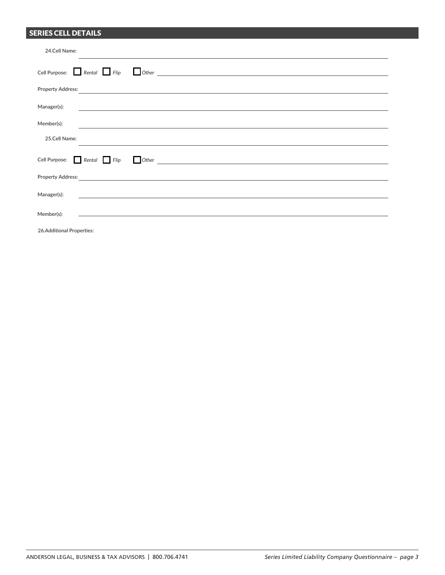## SERIES CELL DETAILS

| 24.Cell Name:                                                                                                                                                                                                                        |
|--------------------------------------------------------------------------------------------------------------------------------------------------------------------------------------------------------------------------------------|
| Cell Purpose: $\Box$ Rental $\Box$ Flip<br>$\Box$ Other $\Box$                                                                                                                                                                       |
| Property Address: <u>Communications of the contract of the contract of the contract of the contract of the contract of the contract of the contract of the contract of the contract of the contract of the contract of the contr</u> |
| Manager(s):<br><u> 2000 - Andrea Andrew Amerikaanse kommunister († 1950)</u>                                                                                                                                                         |
| Member(s):<br><u> Alexandria de la contrada de la contrada de la contrada de la contrada de la contrada de la contrada de la c</u>                                                                                                   |
| 25.Cell Name:                                                                                                                                                                                                                        |
| Cell Purpose: Rental Flip<br>$\blacksquare$ Other $\blacksquare$                                                                                                                                                                     |
| Property Address: <u>Communications and the set of the set of the set of the set of the set of the set of the set of the set of the set of the set of the set of the set of the set of the set of the set of the set of the set </u> |
| Manager(s):<br><u> 1980 - Andrea Station Barbara, amerikan personal (h. 1980).</u>                                                                                                                                                   |
| Member(s):<br><u> 1980 - Johann Barn, amerikan bestemanns eta biztanleria (h. 1980).</u>                                                                                                                                             |
| 26.Additional Properties:                                                                                                                                                                                                            |